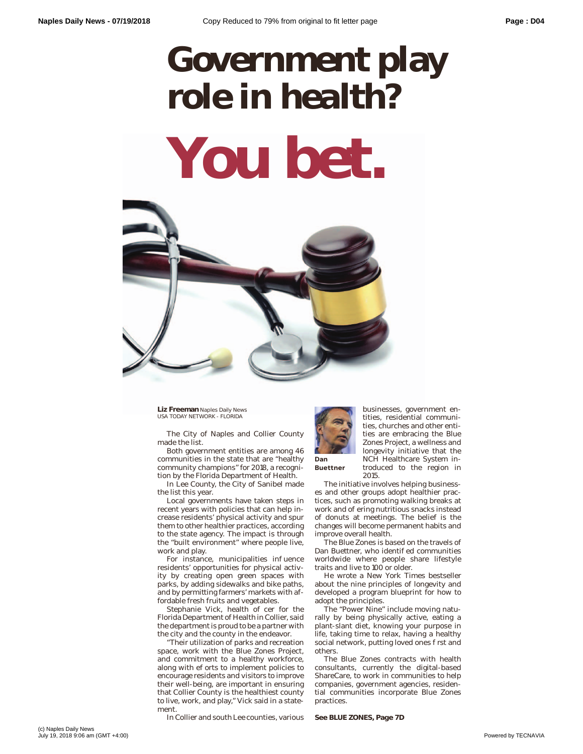## **Government play role in health? You bet.**



**Liz Freeman** Naples Daily News USA TODAY NETWORK - FLORIDA

The City of Naples and Collier County made the list.

Both government entities are among 46 communities in the state that are "healthy community champions" for 2018, a recognition by the Florida Department of Health.

In Lee County, the City of Sanibel made the list this year.

Local governments have taken steps in recent years with policies that can help increase residents' physical activity and spur them to other healthier practices, according to the state agency. The impact is through the "built environment" where people live, work and play.

For instance, municipalities in uence residents' opportunities for physical activity by creating open green spaces with parks, by adding sidewalks and bike paths, and by permitting farmers' markets with affordable fresh fruits and vegetables.

Stephanie Vick, health o cer for the Florida Department of Health in Collier, said the department is proud to be a partner with the city and the county in the endeavor.

"Their utilization of parks and recreation space, work with the Blue Zones Project, and commitment to a healthy workforce, along with e orts to implement policies to encourage residents and visitors to improve their well-being, are important in ensuring that Collier County is the healthiest county to live, work, and play," Vick said in a statement.

In Collier and south Lee counties, various



**Buettner**

businesses, government entities, residential communities, churches and other entities are embracing the Blue Zones Project, a wellness and longevity initiative that the NCH Healthcare System introduced to the region in 2015.

The initiative involves helping businesses and other groups adopt healthier practices, such as promoting walking breaks at work and o ering nutritious snacks instead of donuts at meetings. The belief is the changes will become permanent habits and improve overall health.

The Blue Zones is based on the travels of Dan Buettner, who identi ed communities worldwide where people share lifestyle traits and live to 100 or older.

He wrote a New York Times bestseller about the nine principles of longevity and developed a program blueprint for how to adopt the principles.

The "Power Nine" include moving naturally by being physically active, eating a plant-slant diet, knowing your purpose in life, taking time to relax, having a healthy social network, putting loved ones rst and others.

The Blue Zones contracts with health consultants, currently the digital-based ShareCare, to work in communities to help companies, government agencies, residential communities incorporate Blue Zones practices.

**See BLUE ZONES, Page 7D**